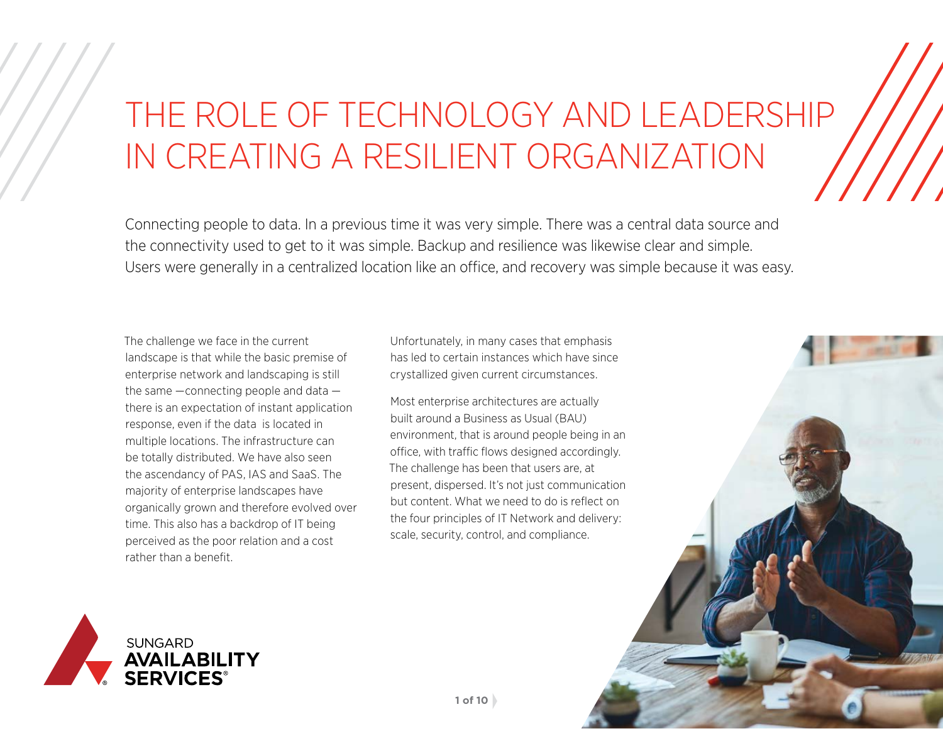# THE ROLE OF TECHNOLOGY AND LEADERSHIP IN CREATING A RESILIENT ORGANIZATION

Connecting people to data. In a previous time it was very simple. There was a central data source and the connectivity used to get to it was simple. Backup and resilience was likewise clear and simple. Users were generally in a centralized location like an office, and recovery was simple because it was easy.

The challenge we face in the current landscape is that while the basic premise of enterprise network and landscaping is still the same —connecting people and data there is an expectation of instant application response, even if the data is located in multiple locations. The infrastructure can be totally distributed. We have also seen the ascendancy of PAS, IAS and SaaS. The majority of enterprise landscapes have organically grown and therefore evolved over time. This also has a backdrop of IT being perceived as the poor relation and a cost rather than a benefit.

Unfortunately, in many cases that emphasis has led to certain instances which have since crystallized given current circumstances.

Most enterprise architectures are actually built around a Business as Usual (BAU) environment, that is around people being in an office, with traffic flows designed accordingly. The challenge has been that users are, at present, dispersed. It's not just communication but content. What we need to do is reflect on the four principles of IT Network and delivery: scale, security, control, and compliance.

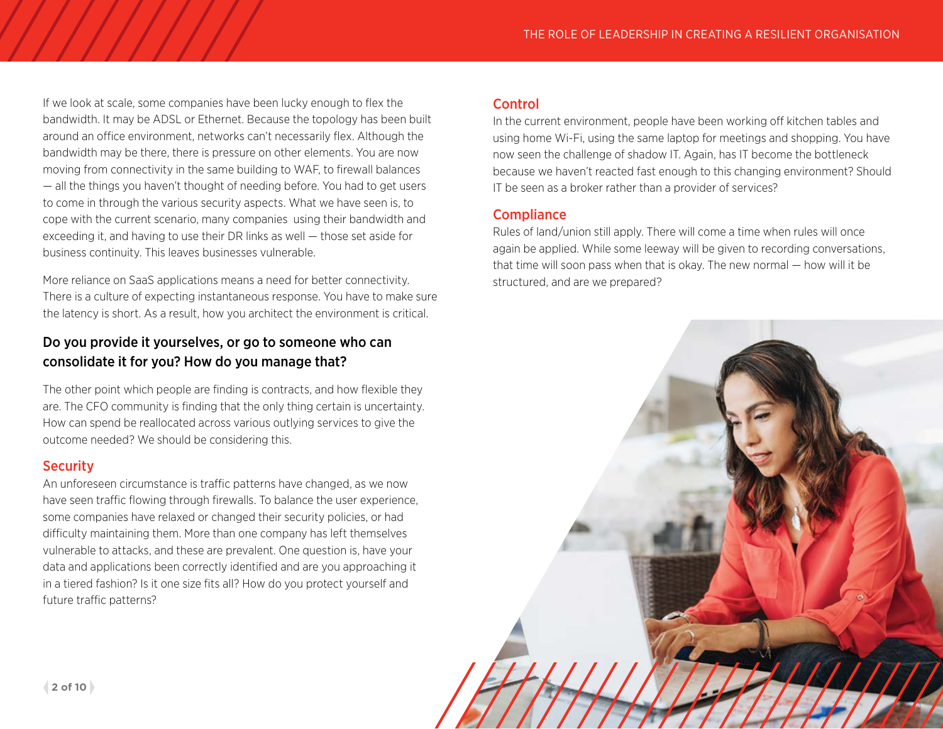If we look at scale, some companies have been lucky enough to flex the bandwidth. It may be ADSL or Ethernet. Because the topology has been built around an office environment, networks can't necessarily flex. Although the bandwidth may be there, there is pressure on other elements. You are now moving from connectivity in the same building to WAF, to firewall balances — all the things you haven't thought of needing before. You had to get users to come in through the various security aspects. What we have seen is, to cope with the current scenario, many companies using their bandwidth and exceeding it, and having to use their DR links as well — those set aside for business continuity. This leaves businesses vulnerable.

More reliance on SaaS applications means a need for better connectivity. There is a culture of expecting instantaneous response. You have to make sure the latency is short. As a result, how you architect the environment is critical.

### Do you provide it yourselves, or go to someone who can consolidate it for you? How do you manage that?

The other point which people are finding is contracts, and how flexible they are. The CFO community is finding that the only thing certain is uncertainty. How can spend be reallocated across various outlying services to give the outcome needed? We should be considering this.

#### **Security**

An unforeseen circumstance is traffic patterns have changed, as we now have seen traffic flowing through firewalls. To balance the user experience, some companies have relaxed or changed their security policies, or had difficulty maintaining them. More than one company has left themselves vulnerable to attacks, and these are prevalent. One question is, have your data and applications been correctly identified and are you approaching it in a tiered fashion? Is it one size fits all? How do you protect yourself and future traffic patterns?

#### **Control**

In the current environment, people have been working off kitchen tables and using home Wi-Fi, using the same laptop for meetings and shopping. You have now seen the challenge of shadow IT. Again, has IT become the bottleneck because we haven't reacted fast enough to this changing environment? Should IT be seen as a broker rather than a provider of services?

#### **Compliance**

Rules of land/union still apply. There will come a time when rules will once again be applied. While some leeway will be given to recording conversations, that time will soon pass when that is okay. The new normal — how will it be structured, and are we prepared?

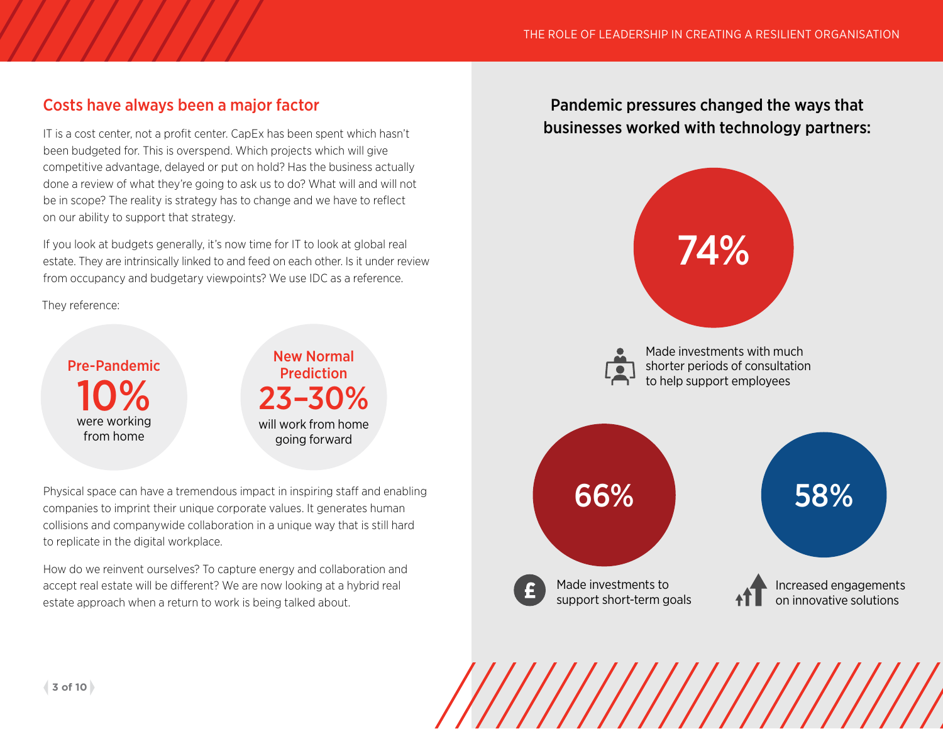# Costs have always been a major factor

IT is a cost center, not a profit center. CapEx has been spent which hasn't been budgeted for. This is overspend. Which projects which will give competitive advantage, delayed or put on hold? Has the business actually done a review of what they're going to ask us to do? What will and will not be in scope? The reality is strategy has to change and we have to reflect on our ability to support that strategy.

If you look at budgets generally, it's now time for IT to look at global real estate. They are intrinsically linked to and feed on each other. Is it under review from occupancy and budgetary viewpoints? We use IDC as a reference.

They reference:

10% Pre-Pandemic were working from home

23–30% New Normal **Prediction** will work from home going forward

Physical space can have a tremendous impact in inspiring staff and enabling companies to imprint their unique corporate values. It generates human collisions and companywide collaboration in a unique way that is still hard to replicate in the digital workplace.

How do we reinvent ourselves? To capture energy and collaboration and accept real estate will be different? We are now looking at a hybrid real estate approach when a return to work is being talked about.

# Pandemic pressures changed the ways that businesses worked with technology partners:

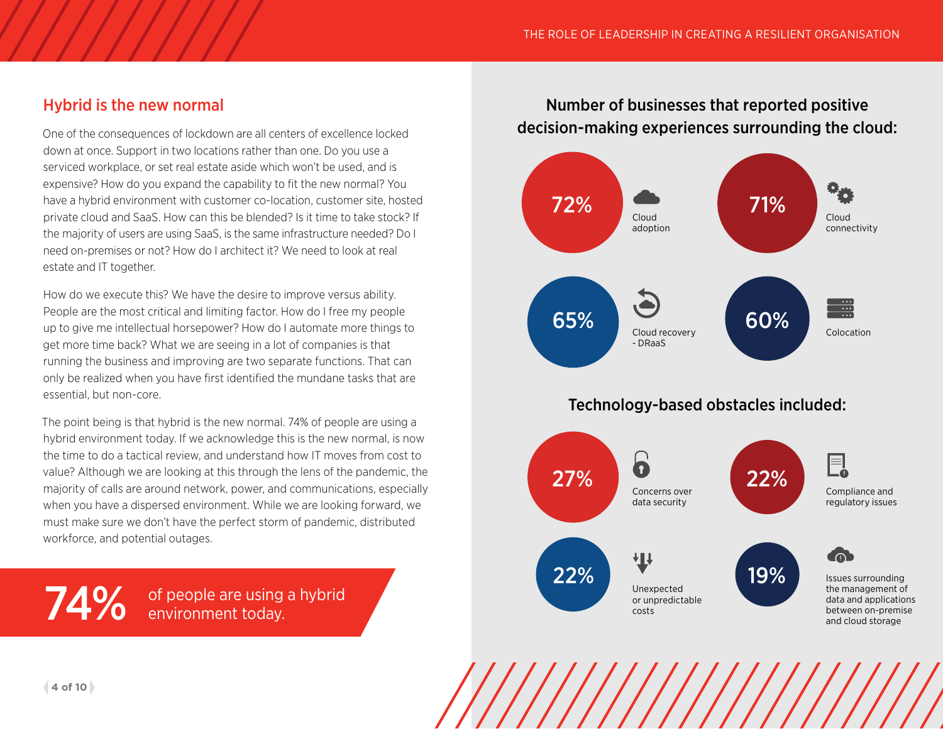# Hybrid is the new normal

One of the consequences of lockdown are all centers of excellence locked down at once. Support in two locations rather than one. Do you use a serviced workplace, or set real estate aside which won't be used, and is expensive? How do you expand the capability to fit the new normal? You have a hybrid environment with customer co-location, customer site, hosted private cloud and SaaS. How can this be blended? Is it time to take stock? If the majority of users are using SaaS, is the same infrastructure needed? Do I need on-premises or not? How do I architect it? We need to look at real estate and IT together.

How do we execute this? We have the desire to improve versus ability. People are the most critical and limiting factor. How do I free my people up to give me intellectual horsepower? How do I automate more things to get more time back? What we are seeing in a lot of companies is that running the business and improving are two separate functions. That can only be realized when you have first identified the mundane tasks that are essential, but non-core.

The point being is that hybrid is the new normal. 74% of people are using a hybrid environment today. If we acknowledge this is the new normal, is now the time to do a tactical review, and understand how IT moves from cost to value? Although we are looking at this through the lens of the pandemic, the majority of calls are around network, power, and communications, especially when you have a dispersed environment. While we are looking forward, we must make sure we don't have the perfect storm of pandemic, distributed workforce, and potential outages.

**74%** of people are using a hybrid

# Number of businesses that reported positive decision-making experiences surrounding the cloud:

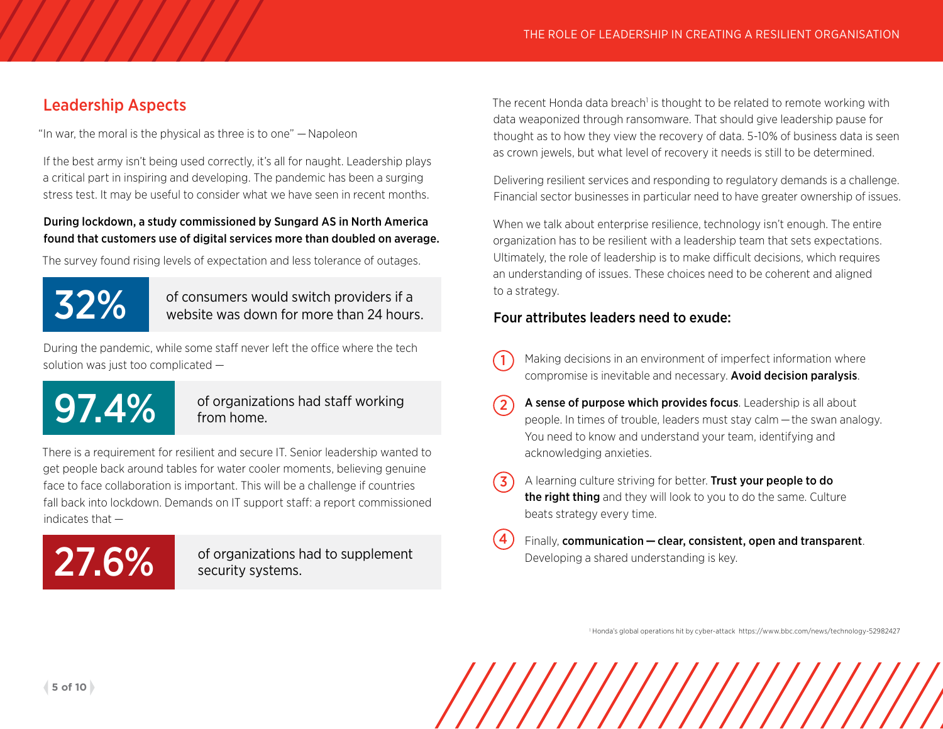# Leadership Aspects

"In war, the moral is the physical as three is to one" — Napoleon

If the best army isn't being used correctly, it's all for naught. Leadership plays a critical part in inspiring and developing. The pandemic has been a surging stress test. It may be useful to consider what we have seen in recent months.

#### During lockdown, a study commissioned by Sungard AS in North America found that customers use of digital services more than doubled on average.

The survey found rising levels of expectation and less tolerance of outages.



32% of consumers would switch providers if a<br>website was down for more than 24 bours website was down for more than 24 hours.

During the pandemic, while some staff never left the office where the tech solution was just too complicated —

# 97.4%

#### of organizations had staff working from home.

There is a requirement for resilient and secure IT. Senior leadership wanted to get people back around tables for water cooler moments, believing genuine face to face collaboration is important. This will be a challenge if countries fall back into lockdown. Demands on IT support staff: a report commissioned indicates that —

27.6% of organizations had to supplement

The recent Honda data breach<sup>1</sup> is thought to be related to remote working with data weaponized through ransomware. That should give leadership pause for thought as to how they view the recovery of data. 5-10% of business data is seen as crown jewels, but what level of recovery it needs is still to be determined.

Delivering resilient services and responding to regulatory demands is a challenge. Financial sector businesses in particular need to have greater ownership of issues.

When we talk about enterprise resilience, technology isn't enough. The entire organization has to be resilient with a leadership team that sets expectations. Ultimately, the role of leadership is to make difficult decisions, which requires an understanding of issues. These choices need to be coherent and aligned to a strategy.

#### Four attributes leaders need to exude:

- Making decisions in an environment of imperfect information where compromise is inevitable and necessary. Avoid decision paralysis. 1
- A sense of purpose which provides focus. Leadership is all about people. In times of trouble, leaders must stay calm —the swan analogy. You need to know and understand your team, identifying and acknowledging anxieties.  $(2)$
- A learning culture striving for better. Trust your people to do the right thing and they will look to you to do the same. Culture beats strategy every time. (3)
- Finally, communication clear, consistent, open and transparent. Developing a shared understanding is key. 4

1 Honda's global operations hit by cyber-attack <https://www.bbc.com/news/technology-52982427>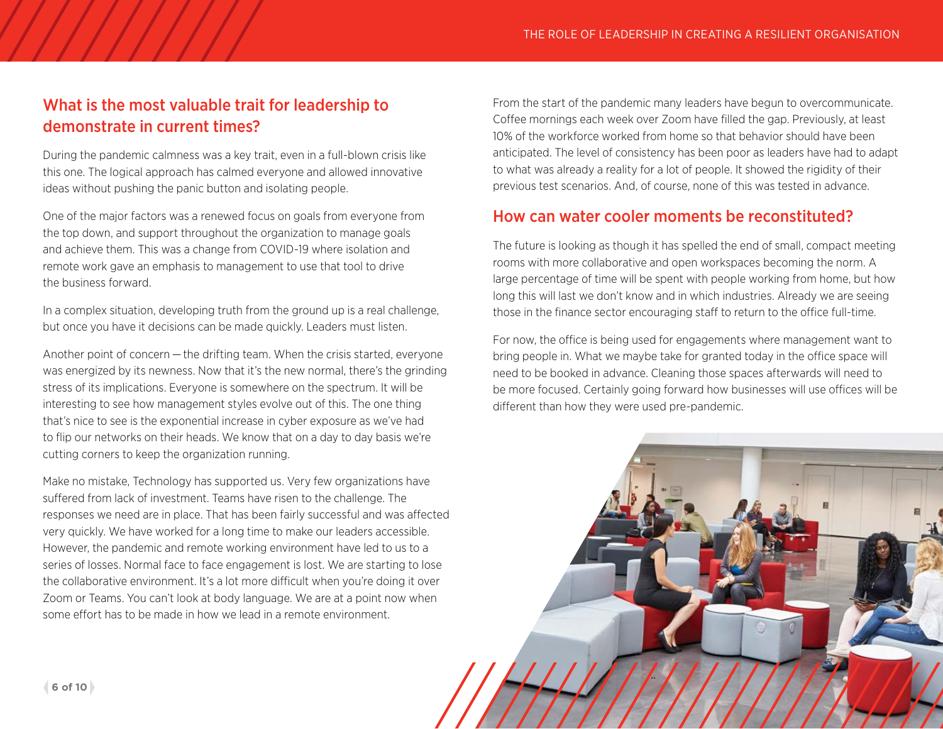# What is the most valuable trait for leadership to demonstrate in current times?

During the pandemic calmness was a key trait, even in a full-blown crisis like this one. The logical approach has calmed everyone and allowed innovative ideas without pushing the panic button and isolating people.

One of the major factors was a renewed focus on goals from everyone from the top down, and support throughout the organization to manage goals and achieve them. This was a change from COVID-19 where isolation and remote work gave an emphasis to management to use that tool to drive the business forward.

In a complex situation, developing truth from the ground up is a real challenge, but once you have it decisions can be made quickly. Leaders must listen.

Another point of concern — the drifting team. When the crisis started, everyone was energized by its newness. Now that it's the new normal, there's the grinding stress of its implications. Everyone is somewhere on the spectrum. It will be interesting to see how management styles evolve out of this. The one thing that's nice to see is the exponential increase in cyber exposure as we've had to flip our networks on their heads. We know that on a day to day basis we're cutting corners to keep the organization running.

Make no mistake, Technology has supported us. Very few organizations have suffered from lack of investment. Teams have risen to the challenge. The responses we need are in place. That has been fairly successful and was affected very quickly. We have worked for a long time to make our leaders accessible. However, the pandemic and remote working environment have led to us to a series of losses. Normal face to face engagement is lost. We are starting to lose the collaborative environment. It's a lot more difficult when you're doing it over Zoom or Teams. You can't look at body language. We are at a point now when some effort has to be made in how we lead in a remote environment.

From the start of the pandemic many leaders have begun to overcommunicate. Coffee mornings each week over Zoom have filled the gap. Previously, at least 10% of the workforce worked from home so that behavior should have been anticipated. The level of consistency has been poor as leaders have had to adapt to what was already a reality for a lot of people. It showed the rigidity of their previous test scenarios. And, of course, none of this was tested in advance.

# How can water cooler moments be reconstituted?

The future is looking as though it has spelled the end of small, compact meeting rooms with more collaborative and open workspaces becoming the norm. A large percentage of time will be spent with people working from home, but how long this will last we don't know and in which industries. Already we are seeing those in the finance sector encouraging staff to return to the office full-time.

For now, the office is being used for engagements where management want to bring people in. What we maybe take for granted today in the office space will need to be booked in advance. Cleaning those spaces afterwards will need to be more focused. Certainly going forward how businesses will use offices will be different than how they were used pre-pandemic.

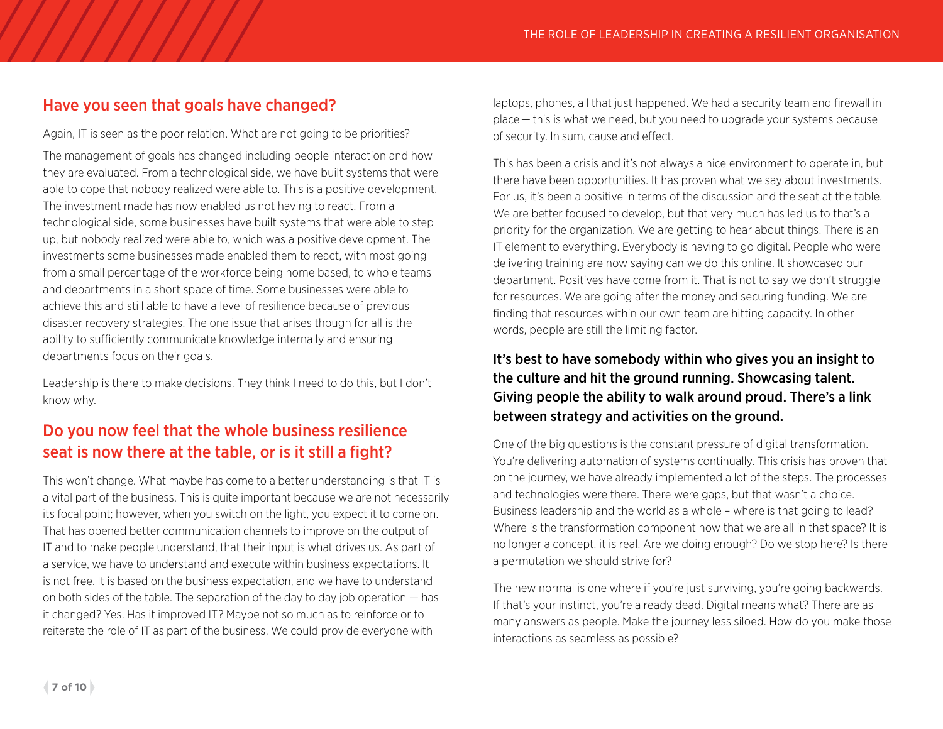# Have you seen that goals have changed?

Again, IT is seen as the poor relation. What are not going to be priorities? The management of goals has changed including people interaction and how they are evaluated. From a technological side, we have built systems that were able to cope that nobody realized were able to. This is a positive development. The investment made has now enabled us not having to react. From a technological side, some businesses have built systems that were able to step up, but nobody realized were able to, which was a positive development. The investments some businesses made enabled them to react, with most going from a small percentage of the workforce being home based, to whole teams and departments in a short space of time. Some businesses were able to achieve this and still able to have a level of resilience because of previous disaster recovery strategies. The one issue that arises though for all is the ability to sufficiently communicate knowledge internally and ensuring departments focus on their goals.

Leadership is there to make decisions. They think I need to do this, but I don't know why.

# Do you now feel that the whole business resilience seat is now there at the table, or is it still a fight?

This won't change. What maybe has come to a better understanding is that IT is a vital part of the business. This is quite important because we are not necessarily its focal point; however, when you switch on the light, you expect it to come on. That has opened better communication channels to improve on the output of IT and to make people understand, that their input is what drives us. As part of a service, we have to understand and execute within business expectations. It is not free. It is based on the business expectation, and we have to understand on both sides of the table. The separation of the day to day job operation — has it changed? Yes. Has it improved IT? Maybe not so much as to reinforce or to reiterate the role of IT as part of the business. We could provide everyone with

laptops, phones, all that just happened. We had a security team and firewall in place — this is what we need, but you need to upgrade your systems because of security. In sum, cause and effect.

This has been a crisis and it's not always a nice environment to operate in, but there have been opportunities. It has proven what we say about investments. For us, it's been a positive in terms of the discussion and the seat at the table. We are better focused to develop, but that very much has led us to that's a priority for the organization. We are getting to hear about things. There is an IT element to everything. Everybody is having to go digital. People who were delivering training are now saying can we do this online. It showcased our department. Positives have come from it. That is not to say we don't struggle for resources. We are going after the money and securing funding. We are finding that resources within our own team are hitting capacity. In other words, people are still the limiting factor.

### It's best to have somebody within who gives you an insight to the culture and hit the ground running. Showcasing talent. Giving people the ability to walk around proud. There's a link between strategy and activities on the ground.

One of the big questions is the constant pressure of digital transformation. You're delivering automation of systems continually. This crisis has proven that on the journey, we have already implemented a lot of the steps. The processes and technologies were there. There were gaps, but that wasn't a choice. Business leadership and the world as a whole – where is that going to lead? Where is the transformation component now that we are all in that space? It is no longer a concept, it is real. Are we doing enough? Do we stop here? Is there a permutation we should strive for?

The new normal is one where if you're just surviving, you're going backwards. If that's your instinct, you're already dead. Digital means what? There are as many answers as people. Make the journey less siloed. How do you make those interactions as seamless as possible?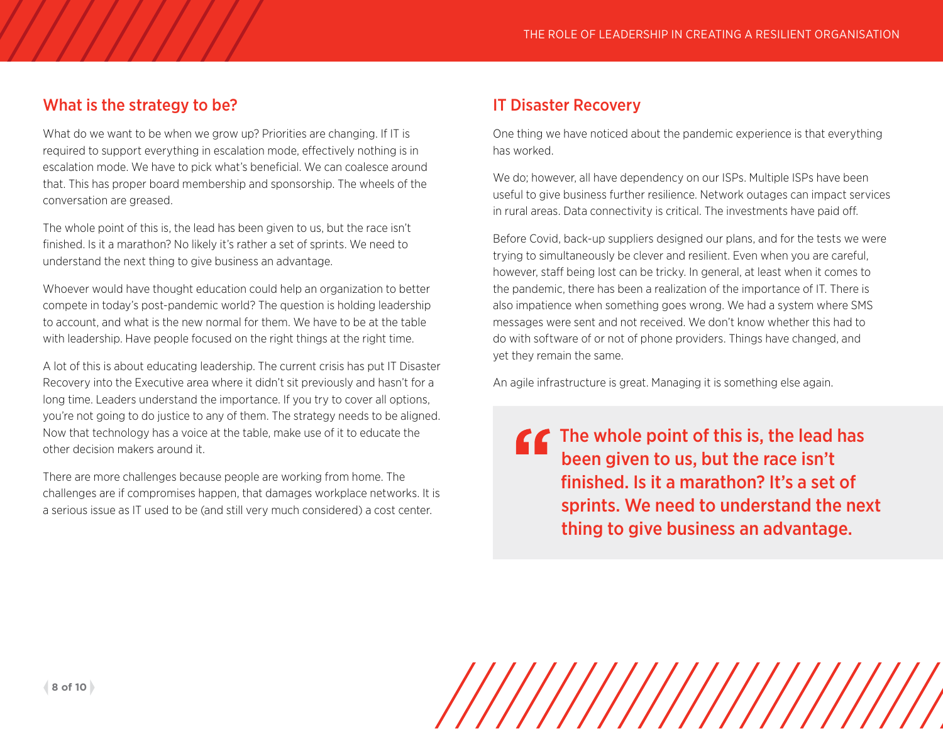# What is the strategy to be?

What do we want to be when we grow up? Priorities are changing. If IT is required to support everything in escalation mode, effectively nothing is in escalation mode. We have to pick what's beneficial. We can coalesce around that. This has proper board membership and sponsorship. The wheels of the conversation are greased.

The whole point of this is, the lead has been given to us, but the race isn't finished. Is it a marathon? No likely it's rather a set of sprints. We need to understand the next thing to give business an advantage.

Whoever would have thought education could help an organization to better compete in today's post-pandemic world? The question is holding leadership to account, and what is the new normal for them. We have to be at the table with leadership. Have people focused on the right things at the right time.

A lot of this is about educating leadership. The current crisis has put IT Disaster Recovery into the Executive area where it didn't sit previously and hasn't for a long time. Leaders understand the importance. If you try to cover all options, you're not going to do justice to any of them. The strategy needs to be aligned. Now that technology has a voice at the table, make use of it to educate the other decision makers around it.

There are more challenges because people are working from home. The challenges are if compromises happen, that damages workplace networks. It is a serious issue as IT used to be (and still very much considered) a cost center.

# IT Disaster Recovery

One thing we have noticed about the pandemic experience is that everything has worked.

We do; however, all have dependency on our ISPs. Multiple ISPs have been useful to give business further resilience. Network outages can impact services in rural areas. Data connectivity is critical. The investments have paid off.

Before Covid, back-up suppliers designed our plans, and for the tests we were trying to simultaneously be clever and resilient. Even when you are careful, however, staff being lost can be tricky. In general, at least when it comes to the pandemic, there has been a realization of the importance of IT. There is also impatience when something goes wrong. We had a system where SMS messages were sent and not received. We don't know whether this had to do with software of or not of phone providers. Things have changed, and yet they remain the same.

An agile infrastructure is great. Managing it is something else again.

**The whole point of this is, the lead has** been given to us, but the race isn't finished. Is it a marathon? It's a set of sprints. We need to understand the next thing to give business an advantage.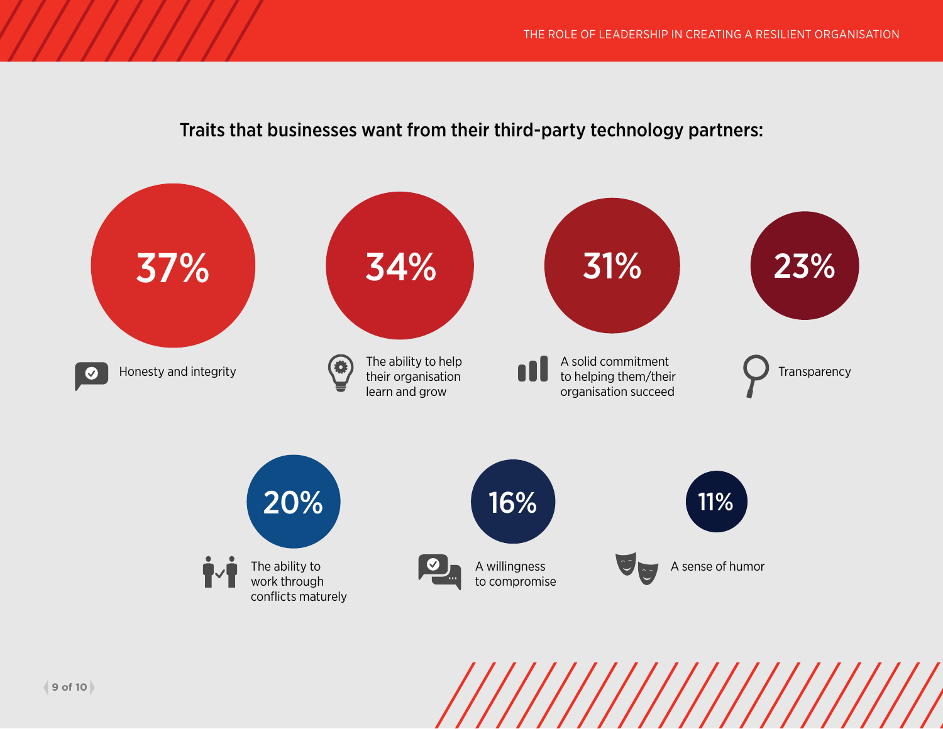# Traits that businesses want from their third-party technology partners: